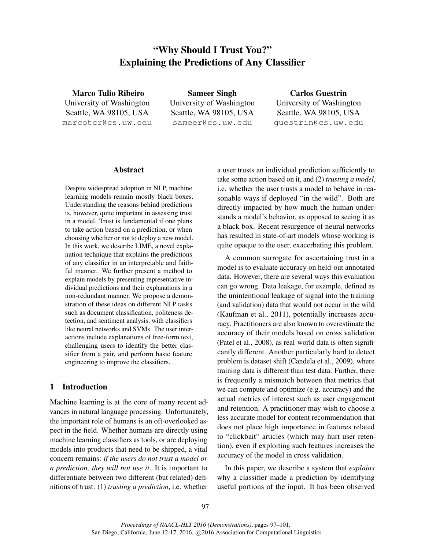# "Why Should I Trust You?" Explaining the Predictions of Any Classifier

Marco Tulio Ribeiro University of Washington Seattle, WA 98105, USA marcotcr@cs.uw.edu

Sameer Singh University of Washington Seattle, WA 98105, USA sameer@cs.uw.edu

Carlos Guestrin University of Washington Seattle, WA 98105, USA guestrin@cs.uw.edu

#### Abstract

Despite widespread adoption in NLP, machine learning models remain mostly black boxes. Understanding the reasons behind predictions is, however, quite important in assessing trust in a model. Trust is fundamental if one plans to take action based on a prediction, or when choosing whether or not to deploy a new model. In this work, we describe LIME, a novel explanation technique that explains the predictions of any classifier in an interpretable and faithful manner. We further present a method to explain models by presenting representative individual predictions and their explanations in a non-redundant manner. We propose a demonstration of these ideas on different NLP tasks such as document classification, politeness detection, and sentiment analysis, with classifiers like neural networks and SVMs. The user interactions include explanations of free-form text, challenging users to identify the better classifier from a pair, and perform basic feature engineering to improve the classifiers.

# 1 Introduction

Machine learning is at the core of many recent advances in natural language processing. Unfortunately, the important role of humans is an oft-overlooked aspect in the field. Whether humans are directly using machine learning classifiers as tools, or are deploying models into products that need to be shipped, a vital concern remains: *if the users do not trust a model or a prediction, they will not use it*. It is important to differentiate between two different (but related) definitions of trust: (1) *trusting a prediction*, i.e. whether a user trusts an individual prediction sufficiently to take some action based on it, and (2) *trusting a model*, i.e. whether the user trusts a model to behave in reasonable ways if deployed "in the wild". Both are directly impacted by how much the human understands a model's behavior, as opposed to seeing it as a black box. Recent resurgence of neural networks has resulted in state-of-art models whose working is quite opaque to the user, exacerbating this problem.

A common surrogate for ascertaining trust in a model is to evaluate accuracy on held-out annotated data. However, there are several ways this evaluation can go wrong. Data leakage, for example, defined as the unintentional leakage of signal into the training (and validation) data that would not occur in the wild (Kaufman et al., 2011), potentially increases accuracy. Practitioners are also known to overestimate the accuracy of their models based on cross validation (Patel et al., 2008), as real-world data is often significantly different. Another particularly hard to detect problem is dataset shift (Candela et al., 2009), where training data is different than test data. Further, there is frequently a mismatch between that metrics that we can compute and optimize (e.g. accuracy) and the actual metrics of interest such as user engagement and retention. A practitioner may wish to choose a less accurate model for content recommendation that does not place high importance in features related to "clickbait" articles (which may hurt user retention), even if exploiting such features increases the accuracy of the model in cross validation.

In this paper, we describe a system that *explains* why a classifier made a prediction by identifying useful portions of the input. It has been observed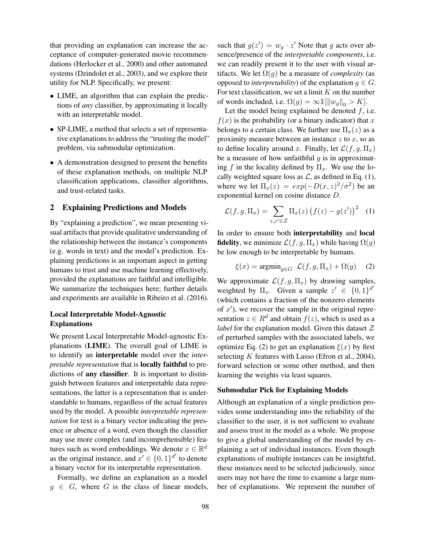that providing an explanation can increase the acceptance of computer-generated movie recommendations (Herlocker et al., 2000) and other automated systems (Dzindolet et al., 2003), and we explore their utility for NLP. Specifically, we present:

- LIME, an algorithm that can explain the predictions of *any* classifier, by approximating it locally with an interpretable model.
- SP-LIME, a method that selects a set of representative explanations to address the "trusting the model" problem, via submodular optimization.
- A demonstration designed to present the benefits of these explanation methods, on multiple NLP classification applications, classifier algorithms, and trust-related tasks.

## 2 Explaining Predictions and Models

By "explaining a prediction", we mean presenting visual artifacts that provide qualitative understanding of the relationship between the instance's components (e.g. words in text) and the model's prediction. Explaining predictions is an important aspect in getting humans to trust and use machine learning effectively, provided the explanations are faithful and intelligible. We summarize the techniques here; further details and experiments are available in Ribeiro et al. (2016).

# Local Interpretable Model-Agnostic Explanations

We present Local Interpretable Model-agnostic Explanations (LIME). The overall goal of LIME is to identify an interpretable model over the *interpretable representation* that is locally faithful to predictions of any classifier. It is important to distinguish between features and interpretable data representations, the latter is a representation that is understandable to humans, regardless of the actual features used by the model. A possible *interpretable representation* for text is a binary vector indicating the presence or absence of a word, even though the classifier may use more complex (and incomprehensible) features such as word embeddings. We denote  $x \in \mathbb{R}^d$ as the original instance, and  $x' \in \{0, 1\}^{d'}$  to denote a binary vector for its interpretable representation.

Formally, we define an explanation as a model  $g \in G$ , where G is the class of linear models,

such that  $g(z') = w_g \cdot z'$  Note that g acts over absence/presence of the *interpretable components*, i.e. we can readily present it to the user with visual artifacts. We let  $\Omega(g)$  be a measure of *complexity* (as opposed to *interpretability*) of the explanation  $g \in G$ . For text classification, we set a limit  $K$  on the number of words included, i.e.  $\Omega(g) = \infty \mathbb{1}[\Vert w_g \Vert_0 > K].$ 

Let the model being explained be denoted  $f$ , i.e.  $f(x)$  is the probability (or a binary indicator) that x belongs to a certain class. We further use  $\Pi_x(z)$  as a proximity measure between an instance  $z$  to  $x$ , so as to define locality around x. Finally, let  $\mathcal{L}(f, g, \Pi_x)$ be a measure of how unfaithful  $g$  is in approximating f in the locality defined by  $\Pi_x$ . We use the locally weighted square loss as  $\mathcal{L}$ , as defined in Eq. (1), where we let  $\Pi_x(z) = exp(-D(x, z)^2/\sigma^2)$  be an exponential kernel on cosine distance D.

$$
\mathcal{L}(f,g,\Pi_x) = \sum_{z,z'\in\mathcal{Z}} \Pi_x(z) \left(f(z) - g(z')\right)^2 \quad (1)
$$

In order to ensure both interpretability and local **fidelity**, we minimize  $\mathcal{L}(f, g, \Pi_x)$  while having  $\Omega(g)$ be low enough to be interpretable by humans.

$$
\xi(x) = \operatorname{argmin}_{g \in G} \ \mathcal{L}(f, g, \Pi_x) + \Omega(g) \tag{2}
$$

We approximate  $\mathcal{L}(f, g, \Pi_x)$  by drawing samples, weighted by  $\Pi_x$ . Given a sample  $z' \in \{0,1\}^{d'}$ (which contains a fraction of the nonzero elements of  $x'$ ), we recover the sample in the original representation  $z \in R^d$  and obtain  $f(z)$ , which is used as a *label* for the explanation model. Given this dataset  $Z$ of perturbed samples with the associated labels, we optimize Eq. (2) to get an explanation  $\xi(x)$  by first selecting  $K$  features with Lasso (Efron et al., 2004), forward selection or some other method, and then learning the weights via least squares.

## Submodular Pick for Explaining Models

Although an explanation of a single prediction provides some understanding into the reliability of the classifier to the user, it is not sufficient to evaluate and assess trust in the model as a whole. We propose to give a global understanding of the model by explaining a set of individual instances. Even though explanations of multiple instances can be insightful, these instances need to be selected judiciously, since users may not have the time to examine a large number of explanations. We represent the number of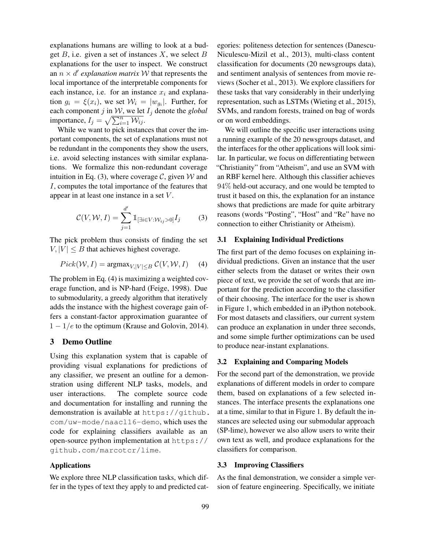explanations humans are willing to look at a budget  $B$ , i.e. given a set of instances  $X$ , we select  $B$ explanations for the user to inspect. We construct an  $n \times d'$  *explanation matrix* W that represents the local importance of the interpretable components for each instance, i.e. for an instance  $x_i$  and explanation  $g_i = \xi(x_i)$ , we set  $\mathcal{W}_i = |w_{g_i}|$ . Further, for each component j in  $W$ , we let  $I_j$  denote the *global* importance,  $I_j = \sqrt{\sum_{i=1}^n W_{ij}}$ .

While we want to pick instances that cover the important components, the set of explanations must not be redundant in the components they show the users, i.e. avoid selecting instances with similar explanations. We formalize this non-redundant coverage intuition in Eq. (3), where coverage C, given  $W$  and I, computes the total importance of the features that appear in at least one instance in a set V .

$$
C(V, W, I) = \sum_{j=1}^{d'} \mathbb{1}_{\left[\exists i \in V : W_{ij} > 0\right]} I_j \tag{3}
$$

The pick problem thus consists of finding the set  $V, |V| \leq B$  that achieves highest coverage.

$$
Pick(W, I) = \operatorname{argmax}_{V, |V| \le B} C(V, W, I) \quad (4)
$$

The problem in Eq. (4) is maximizing a weighted coverage function, and is NP-hard (Feige, 1998). Due to submodularity, a greedy algorithm that iteratively adds the instance with the highest coverage gain offers a constant-factor approximation guarantee of  $1 - 1/e$  to the optimum (Krause and Golovin, 2014).

#### 3 Demo Outline

Using this explanation system that is capable of providing visual explanations for predictions of any classifier, we present an outline for a demonstration using different NLP tasks, models, and user interactions. The complete source code and documentation for installing and running the demonstration is available at https://github. com/uw-mode/naacl16-demo, which uses the code for explaining classifiers available as an open-source python implementation at https:// github.com/marcotcr/lime.

## Applications

We explore three NLP classification tasks, which differ in the types of text they apply to and predicted categories: politeness detection for sentences (Danescu-Niculescu-Mizil et al., 2013), multi-class content classification for documents (20 newsgroups data), and sentiment analysis of sentences from movie reviews (Socher et al., 2013). We explore classifiers for these tasks that vary considerably in their underlying representation, such as LSTMs (Wieting et al., 2015), SVMs, and random forests, trained on bag of words or on word embeddings.

We will outline the specific user interactions using a running example of the 20 newsgroups dataset, and the interfaces for the other applications will look similar. In particular, we focus on differentiating between "Christianity" from "Atheism", and use an SVM with an RBF kernel here. Although this classifier achieves 94% held-out accuracy, and one would be tempted to trust it based on this, the explanation for an instance shows that predictions are made for quite arbitrary reasons (words "Posting", "Host" and "Re" have no connection to either Christianity or Atheism).

## 3.1 Explaining Individual Predictions

The first part of the demo focuses on explaining individual predictions. Given an instance that the user either selects from the dataset or writes their own piece of text, we provide the set of words that are important for the prediction according to the classifier of their choosing. The interface for the user is shown in Figure 1, which embedded in an iPython notebook. For most datasets and classifiers, our current system can produce an explanation in under three seconds, and some simple further optimizations can be used to produce near-instant explanations.

## 3.2 Explaining and Comparing Models

For the second part of the demonstration, we provide explanations of different models in order to compare them, based on explanations of a few selected instances. The interface presents the explanations one at a time, similar to that in Figure 1. By default the instances are selected using our submodular approach (SP-lime), however we also allow users to write their own text as well, and produce explanations for the classifiers for comparison.

## 3.3 Improving Classifiers

As the final demonstration, we consider a simple version of feature engineering. Specifically, we initiate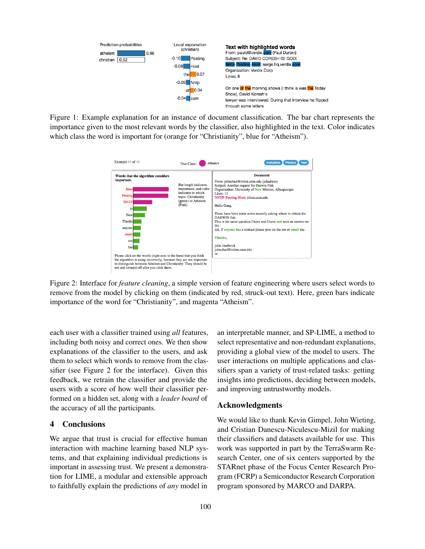

Figure 1: Example explanation for an instance of document classification. The bar chart represents the importance given to the most relevant words by the classifier, also highlighted in the text. Color indicates which class the word is important for (orange for "Christianity", blue for "Atheism").



Figure 2: Interface for *feature cleaning*, a simple version of feature engineering where users select words to remove from the model by clicking on them (indicated by red, struck-out text). Here, green bars indicate importance of the word for "Christianity", and magenta "Atheism".

each user with a classifier trained using *all* features, including both noisy and correct ones. We then show explanations of the classifier to the users, and ask them to select which words to remove from the classifier (see Figure 2 for the interface). Given this feedback, we retrain the classifier and provide the users with a score of how well their classifier performed on a hidden set, along with a *leader board* of the accuracy of all the participants.

## 4 Conclusions

We argue that trust is crucial for effective human interaction with machine learning based NLP systems, and that explaining individual predictions is important in assessing trust. We present a demonstration for LIME, a modular and extensible approach to faithfully explain the predictions of *any* model in an interpretable manner, and SP-LIME, a method to select representative and non-redundant explanations, providing a global view of the model to users. The user interactions on multiple applications and classifiers span a variety of trust-related tasks: getting insights into predictions, deciding between models, and improving untrustworthy models.

## Acknowledgments

We would like to thank Kevin Gimpel, John Wieting, and Cristian Danescu-Niculescu-Mizil for making their classifiers and datasets available for use. This work was supported in part by the TerraSwarm Research Center, one of six centers supported by the STARnet phase of the Focus Center Research Program (FCRP) a Semiconductor Research Corporation program sponsored by MARCO and DARPA.